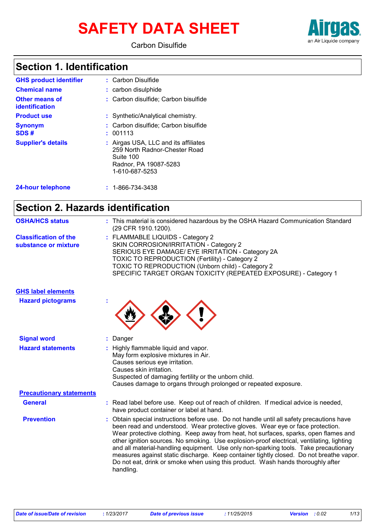# **SAFETY DATA SHEET**





### **Section 1. Identification**

| <b>GHS product identifier</b>                  | : Carbon Disulfide                                                                                                            |
|------------------------------------------------|-------------------------------------------------------------------------------------------------------------------------------|
| <b>Chemical name</b>                           | : carbon disulphide                                                                                                           |
| <b>Other means of</b><br><b>identification</b> | : Carbon disulfide; Carbon bisulfide                                                                                          |
| <b>Product use</b>                             | : Synthetic/Analytical chemistry.                                                                                             |
| <b>Synonym</b><br>SDS#                         | : Carbon disulfide; Carbon bisulfide<br>: 001113                                                                              |
| <b>Supplier's details</b>                      | : Airgas USA, LLC and its affiliates<br>259 North Radnor-Chester Road<br>Suite 100<br>Radnor, PA 19087-5283<br>1-610-687-5253 |
| 24-hour telephone                              | $: 1 - 866 - 734 - 3438$                                                                                                      |

### **Section 2. Hazards identification**

| <b>OSHA/HCS status</b>                               | : This material is considered hazardous by the OSHA Hazard Communication Standard<br>(29 CFR 1910.1200).                                                                                                                                                                                                                                                                                                                                                                                                                                                                                                                                            |
|------------------------------------------------------|-----------------------------------------------------------------------------------------------------------------------------------------------------------------------------------------------------------------------------------------------------------------------------------------------------------------------------------------------------------------------------------------------------------------------------------------------------------------------------------------------------------------------------------------------------------------------------------------------------------------------------------------------------|
| <b>Classification of the</b><br>substance or mixture | : FLAMMABLE LIQUIDS - Category 2<br>SKIN CORROSION/IRRITATION - Category 2<br>SERIOUS EYE DAMAGE/ EYE IRRITATION - Category 2A<br>TOXIC TO REPRODUCTION (Fertility) - Category 2<br>TOXIC TO REPRODUCTION (Unborn child) - Category 2<br>SPECIFIC TARGET ORGAN TOXICITY (REPEATED EXPOSURE) - Category 1                                                                                                                                                                                                                                                                                                                                            |
| <b>GHS label elements</b>                            |                                                                                                                                                                                                                                                                                                                                                                                                                                                                                                                                                                                                                                                     |
| <b>Hazard pictograms</b>                             |                                                                                                                                                                                                                                                                                                                                                                                                                                                                                                                                                                                                                                                     |
| <b>Signal word</b>                                   | : Danger                                                                                                                                                                                                                                                                                                                                                                                                                                                                                                                                                                                                                                            |
| <b>Hazard statements</b>                             | : Highly flammable liquid and vapor.<br>May form explosive mixtures in Air.<br>Causes serious eye irritation.<br>Causes skin irritation.<br>Suspected of damaging fertility or the unborn child.<br>Causes damage to organs through prolonged or repeated exposure.                                                                                                                                                                                                                                                                                                                                                                                 |
| <b>Precautionary statements</b>                      |                                                                                                                                                                                                                                                                                                                                                                                                                                                                                                                                                                                                                                                     |
| <b>General</b>                                       | : Read label before use. Keep out of reach of children. If medical advice is needed,<br>have product container or label at hand.                                                                                                                                                                                                                                                                                                                                                                                                                                                                                                                    |
| <b>Prevention</b>                                    | : Obtain special instructions before use. Do not handle until all safety precautions have<br>been read and understood. Wear protective gloves. Wear eye or face protection.<br>Wear protective clothing. Keep away from heat, hot surfaces, sparks, open flames and<br>other ignition sources. No smoking. Use explosion-proof electrical, ventilating, lighting<br>and all material-handling equipment. Use only non-sparking tools. Take precautionary<br>measures against static discharge. Keep container tightly closed. Do not breathe vapor.<br>Do not eat, drink or smoke when using this product. Wash hands thoroughly after<br>handling. |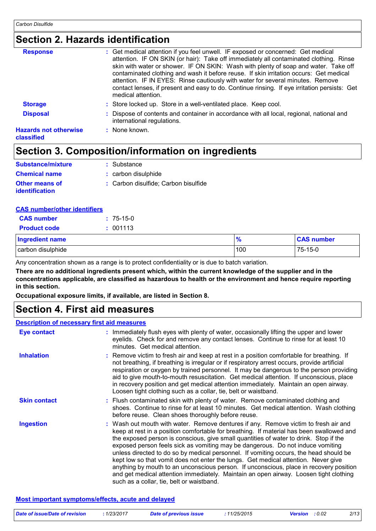### **Section 2. Hazards identification**

| : Get medical attention if you feel unwell. IF exposed or concerned: Get medical<br>attention. IF ON SKIN (or hair): Take off immediately all contaminated clothing. Rinse<br>skin with water or shower. IF ON SKIN: Wash with plenty of soap and water. Take off<br>contaminated clothing and wash it before reuse. If skin irritation occurs: Get medical<br>attention. IF IN EYES: Rinse cautiously with water for several minutes. Remove<br>contact lenses, if present and easy to do. Continue rinsing. If eye irritation persists: Get<br>medical attention. |
|---------------------------------------------------------------------------------------------------------------------------------------------------------------------------------------------------------------------------------------------------------------------------------------------------------------------------------------------------------------------------------------------------------------------------------------------------------------------------------------------------------------------------------------------------------------------|
| : Store locked up. Store in a well-ventilated place. Keep cool.                                                                                                                                                                                                                                                                                                                                                                                                                                                                                                     |
| : Dispose of contents and container in accordance with all local, regional, national and<br>international regulations.                                                                                                                                                                                                                                                                                                                                                                                                                                              |
| $:$ None known.                                                                                                                                                                                                                                                                                                                                                                                                                                                                                                                                                     |
|                                                                                                                                                                                                                                                                                                                                                                                                                                                                                                                                                                     |

### **Section 3. Composition/information on ingredients**

| <b>Substance/mixture</b>         | : Substance                          |
|----------------------------------|--------------------------------------|
| <b>Chemical name</b>             | : carbon disulphide                  |
| Other means of<br>identification | : Carbon disulfide: Carbon bisulfide |

| <b>CAS number/other identifiers</b> |             |  |
|-------------------------------------|-------------|--|
| <b>CAS</b> number                   | $: 75-15-0$ |  |

| <b>Product code</b>    | : 001113 |     |                   |
|------------------------|----------|-----|-------------------|
| <b>Ingredient name</b> |          | - 0 | <b>CAS number</b> |
| carbon disulphide      |          | 100 | 75-15-0           |

Any concentration shown as a range is to protect confidentiality or is due to batch variation.

**There are no additional ingredients present which, within the current knowledge of the supplier and in the concentrations applicable, are classified as hazardous to health or the environment and hence require reporting in this section.**

**Occupational exposure limits, if available, are listed in Section 8.**

### **Section 4. First aid measures**

#### **Description of necessary first aid measures**

| <b>Eye contact</b>  | : Immediately flush eyes with plenty of water, occasionally lifting the upper and lower<br>eyelids. Check for and remove any contact lenses. Continue to rinse for at least 10<br>minutes. Get medical attention.                                                                                                                                                                                                                                                                                                                                                                                                                                                                                                                                                         |
|---------------------|---------------------------------------------------------------------------------------------------------------------------------------------------------------------------------------------------------------------------------------------------------------------------------------------------------------------------------------------------------------------------------------------------------------------------------------------------------------------------------------------------------------------------------------------------------------------------------------------------------------------------------------------------------------------------------------------------------------------------------------------------------------------------|
| <b>Inhalation</b>   | : Remove victim to fresh air and keep at rest in a position comfortable for breathing. If<br>not breathing, if breathing is irregular or if respiratory arrest occurs, provide artificial<br>respiration or oxygen by trained personnel. It may be dangerous to the person providing<br>aid to give mouth-to-mouth resuscitation. Get medical attention. If unconscious, place<br>in recovery position and get medical attention immediately. Maintain an open airway.<br>Loosen tight clothing such as a collar, tie, belt or waistband.                                                                                                                                                                                                                                 |
| <b>Skin contact</b> | : Flush contaminated skin with plenty of water. Remove contaminated clothing and<br>shoes. Continue to rinse for at least 10 minutes. Get medical attention. Wash clothing<br>before reuse. Clean shoes thoroughly before reuse.                                                                                                                                                                                                                                                                                                                                                                                                                                                                                                                                          |
| <b>Ingestion</b>    | : Wash out mouth with water. Remove dentures if any. Remove victim to fresh air and<br>keep at rest in a position comfortable for breathing. If material has been swallowed and<br>the exposed person is conscious, give small quantities of water to drink. Stop if the<br>exposed person feels sick as vomiting may be dangerous. Do not induce vomiting<br>unless directed to do so by medical personnel. If vomiting occurs, the head should be<br>kept low so that vomit does not enter the lungs. Get medical attention. Never give<br>anything by mouth to an unconscious person. If unconscious, place in recovery position<br>and get medical attention immediately. Maintain an open airway. Loosen tight clothing<br>such as a collar, tie, belt or waistband. |

#### **Most important symptoms/effects, acute and delayed**

|  | Date of issue/Date of revision | 1/23/2017 | Date of previous issue | 11/25/2015 | <b>Version</b> : 0.02 |  |
|--|--------------------------------|-----------|------------------------|------------|-----------------------|--|
|--|--------------------------------|-----------|------------------------|------------|-----------------------|--|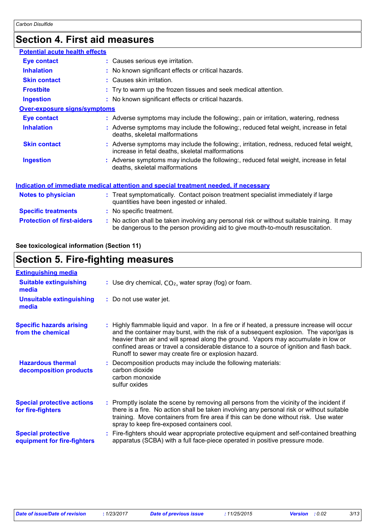### **Section 4. First aid measures**

| <b>Potential acute health effects</b>                                                       |  |                                                                                                                                                                               |  |  |
|---------------------------------------------------------------------------------------------|--|-------------------------------------------------------------------------------------------------------------------------------------------------------------------------------|--|--|
| <b>Eye contact</b>                                                                          |  | : Causes serious eye irritation.                                                                                                                                              |  |  |
| <b>Inhalation</b>                                                                           |  | : No known significant effects or critical hazards.                                                                                                                           |  |  |
| <b>Skin contact</b>                                                                         |  | : Causes skin irritation.                                                                                                                                                     |  |  |
| <b>Frostbite</b>                                                                            |  | : Try to warm up the frozen tissues and seek medical attention.                                                                                                               |  |  |
| <b>Ingestion</b>                                                                            |  | : No known significant effects or critical hazards.                                                                                                                           |  |  |
| <b>Over-exposure signs/symptoms</b>                                                         |  |                                                                                                                                                                               |  |  |
| <b>Eye contact</b>                                                                          |  | : Adverse symptoms may include the following:, pain or irritation, watering, redness                                                                                          |  |  |
| <b>Inhalation</b>                                                                           |  | : Adverse symptoms may include the following:, reduced fetal weight, increase in fetal<br>deaths, skeletal malformations                                                      |  |  |
| <b>Skin contact</b>                                                                         |  | : Adverse symptoms may include the following:, irritation, redness, reduced fetal weight,<br>increase in fetal deaths, skeletal malformations                                 |  |  |
| <b>Ingestion</b>                                                                            |  | : Adverse symptoms may include the following:, reduced fetal weight, increase in fetal<br>deaths, skeletal malformations                                                      |  |  |
| <u>Indication of immediate medical attention and special treatment needed, if necessary</u> |  |                                                                                                                                                                               |  |  |
| Notes to physician                                                                          |  | : Treat symptomatically. Contact poison treatment specialist immediately if large<br>quantities have been ingested or inhaled.                                                |  |  |
| <b>Specific treatments</b>                                                                  |  | : No specific treatment.                                                                                                                                                      |  |  |
| <b>Protection of first-aiders</b>                                                           |  | : No action shall be taken involving any personal risk or without suitable training. It may<br>be dangerous to the person providing aid to give mouth-to-mouth resuscitation. |  |  |

#### **See toxicological information (Section 11)**

## **Section 5. Fire-fighting measures**

| <b>Extinguishing media</b><br><b>Suitable extinguishing</b><br>: Use dry chemical, $CO2$ , water spray (fog) or foam.<br>media<br>: Do not use water jet.<br><b>Unsuitable extinguishing</b><br>media<br><b>Specific hazards arising</b><br>Highly flammable liquid and vapor. In a fire or if heated, a pressure increase will occur<br>÷.<br>from the chemical<br>heavier than air and will spread along the ground. Vapors may accumulate in low or<br>confined areas or travel a considerable distance to a source of ignition and flash back.<br>Runoff to sewer may create fire or explosion hazard.<br><b>Hazardous thermal</b><br>: Decomposition products may include the following materials:<br>carbon dioxide<br>decomposition products<br>carbon monoxide<br>sulfur oxides<br><b>Special protective actions</b><br>: Promptly isolate the scene by removing all persons from the vicinity of the incident if<br>there is a fire. No action shall be taken involving any personal risk or without suitable<br>for fire-fighters<br>training. Move containers from fire area if this can be done without risk. Use water<br>spray to keep fire-exposed containers cool.<br><b>Special protective</b><br>apparatus (SCBA) with a full face-piece operated in positive pressure mode.<br>equipment for fire-fighters |                                                                                         |
|-------------------------------------------------------------------------------------------------------------------------------------------------------------------------------------------------------------------------------------------------------------------------------------------------------------------------------------------------------------------------------------------------------------------------------------------------------------------------------------------------------------------------------------------------------------------------------------------------------------------------------------------------------------------------------------------------------------------------------------------------------------------------------------------------------------------------------------------------------------------------------------------------------------------------------------------------------------------------------------------------------------------------------------------------------------------------------------------------------------------------------------------------------------------------------------------------------------------------------------------------------------------------------------------------------------------------------|-----------------------------------------------------------------------------------------|
|                                                                                                                                                                                                                                                                                                                                                                                                                                                                                                                                                                                                                                                                                                                                                                                                                                                                                                                                                                                                                                                                                                                                                                                                                                                                                                                               |                                                                                         |
|                                                                                                                                                                                                                                                                                                                                                                                                                                                                                                                                                                                                                                                                                                                                                                                                                                                                                                                                                                                                                                                                                                                                                                                                                                                                                                                               |                                                                                         |
|                                                                                                                                                                                                                                                                                                                                                                                                                                                                                                                                                                                                                                                                                                                                                                                                                                                                                                                                                                                                                                                                                                                                                                                                                                                                                                                               |                                                                                         |
|                                                                                                                                                                                                                                                                                                                                                                                                                                                                                                                                                                                                                                                                                                                                                                                                                                                                                                                                                                                                                                                                                                                                                                                                                                                                                                                               | and the container may burst, with the risk of a subsequent explosion. The vapor/gas is  |
|                                                                                                                                                                                                                                                                                                                                                                                                                                                                                                                                                                                                                                                                                                                                                                                                                                                                                                                                                                                                                                                                                                                                                                                                                                                                                                                               |                                                                                         |
|                                                                                                                                                                                                                                                                                                                                                                                                                                                                                                                                                                                                                                                                                                                                                                                                                                                                                                                                                                                                                                                                                                                                                                                                                                                                                                                               |                                                                                         |
|                                                                                                                                                                                                                                                                                                                                                                                                                                                                                                                                                                                                                                                                                                                                                                                                                                                                                                                                                                                                                                                                                                                                                                                                                                                                                                                               | Fire-fighters should wear appropriate protective equipment and self-contained breathing |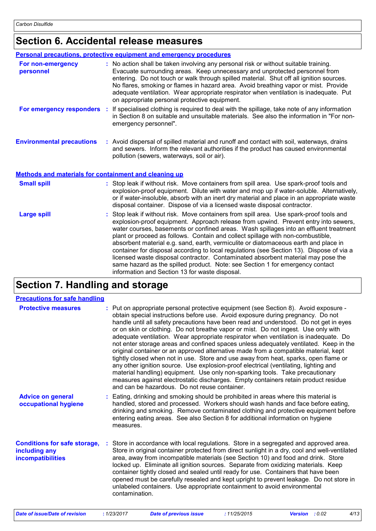### **Section 6. Accidental release measures**

|                                                              | <b>Personal precautions, protective equipment and emergency procedures</b>                                                                                                                                                                                                                                                                                                                                                                                                                                                                                                                                                                                                                                                                                         |
|--------------------------------------------------------------|--------------------------------------------------------------------------------------------------------------------------------------------------------------------------------------------------------------------------------------------------------------------------------------------------------------------------------------------------------------------------------------------------------------------------------------------------------------------------------------------------------------------------------------------------------------------------------------------------------------------------------------------------------------------------------------------------------------------------------------------------------------------|
| For non-emergency<br>personnel                               | : No action shall be taken involving any personal risk or without suitable training.<br>Evacuate surrounding areas. Keep unnecessary and unprotected personnel from<br>entering. Do not touch or walk through spilled material. Shut off all ignition sources.<br>No flares, smoking or flames in hazard area. Avoid breathing vapor or mist. Provide<br>adequate ventilation. Wear appropriate respirator when ventilation is inadequate. Put<br>on appropriate personal protective equipment.                                                                                                                                                                                                                                                                    |
| For emergency responders                                     | If specialised clothing is required to deal with the spillage, take note of any information<br>÷.<br>in Section 8 on suitable and unsuitable materials. See also the information in "For non-<br>emergency personnel".                                                                                                                                                                                                                                                                                                                                                                                                                                                                                                                                             |
| <b>Environmental precautions</b>                             | : Avoid dispersal of spilled material and runoff and contact with soil, waterways, drains<br>and sewers. Inform the relevant authorities if the product has caused environmental<br>pollution (sewers, waterways, soil or air).                                                                                                                                                                                                                                                                                                                                                                                                                                                                                                                                    |
| <b>Methods and materials for containment and cleaning up</b> |                                                                                                                                                                                                                                                                                                                                                                                                                                                                                                                                                                                                                                                                                                                                                                    |
| <b>Small spill</b>                                           | : Stop leak if without risk. Move containers from spill area. Use spark-proof tools and<br>explosion-proof equipment. Dilute with water and mop up if water-soluble. Alternatively,<br>or if water-insoluble, absorb with an inert dry material and place in an appropriate waste<br>disposal container. Dispose of via a licensed waste disposal contractor.                                                                                                                                                                                                                                                                                                                                                                                                      |
| <b>Large spill</b>                                           | Stop leak if without risk. Move containers from spill area. Use spark-proof tools and<br>explosion-proof equipment. Approach release from upwind. Prevent entry into sewers,<br>water courses, basements or confined areas. Wash spillages into an effluent treatment<br>plant or proceed as follows. Contain and collect spillage with non-combustible,<br>absorbent material e.g. sand, earth, vermiculite or diatomaceous earth and place in<br>container for disposal according to local regulations (see Section 13). Dispose of via a<br>licensed waste disposal contractor. Contaminated absorbent material may pose the<br>same hazard as the spilled product. Note: see Section 1 for emergency contact<br>information and Section 13 for waste disposal. |

### **Section 7. Handling and storage**

| <b>Precautions for safe handling</b>                                             |                                                                                                                                                                                                                                                                                                                                                                                                                                                                                                                                                                                                                                                                                                                                                                                                                                                                                                                                                                                                                                       |
|----------------------------------------------------------------------------------|---------------------------------------------------------------------------------------------------------------------------------------------------------------------------------------------------------------------------------------------------------------------------------------------------------------------------------------------------------------------------------------------------------------------------------------------------------------------------------------------------------------------------------------------------------------------------------------------------------------------------------------------------------------------------------------------------------------------------------------------------------------------------------------------------------------------------------------------------------------------------------------------------------------------------------------------------------------------------------------------------------------------------------------|
| <b>Protective measures</b>                                                       | : Put on appropriate personal protective equipment (see Section 8). Avoid exposure -<br>obtain special instructions before use. Avoid exposure during pregnancy. Do not<br>handle until all safety precautions have been read and understood. Do not get in eyes<br>or on skin or clothing. Do not breathe vapor or mist. Do not ingest. Use only with<br>adequate ventilation. Wear appropriate respirator when ventilation is inadequate. Do<br>not enter storage areas and confined spaces unless adequately ventilated. Keep in the<br>original container or an approved alternative made from a compatible material, kept<br>tightly closed when not in use. Store and use away from heat, sparks, open flame or<br>any other ignition source. Use explosion-proof electrical (ventilating, lighting and<br>material handling) equipment. Use only non-sparking tools. Take precautionary<br>measures against electrostatic discharges. Empty containers retain product residue<br>and can be hazardous. Do not reuse container. |
| <b>Advice on general</b><br>occupational hygiene                                 | : Eating, drinking and smoking should be prohibited in areas where this material is<br>handled, stored and processed. Workers should wash hands and face before eating,<br>drinking and smoking. Remove contaminated clothing and protective equipment before<br>entering eating areas. See also Section 8 for additional information on hygiene<br>measures.                                                                                                                                                                                                                                                                                                                                                                                                                                                                                                                                                                                                                                                                         |
| <b>Conditions for safe storage,</b><br>including any<br><b>incompatibilities</b> | Store in accordance with local regulations. Store in a segregated and approved area.<br>Store in original container protected from direct sunlight in a dry, cool and well-ventilated<br>area, away from incompatible materials (see Section 10) and food and drink. Store<br>locked up. Eliminate all ignition sources. Separate from oxidizing materials. Keep<br>container tightly closed and sealed until ready for use. Containers that have been<br>opened must be carefully resealed and kept upright to prevent leakage. Do not store in<br>unlabeled containers. Use appropriate containment to avoid environmental<br>contamination.                                                                                                                                                                                                                                                                                                                                                                                        |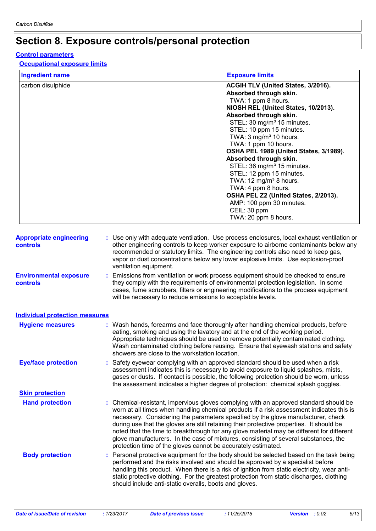### **Section 8. Exposure controls/personal protection**

#### **Control parameters**

#### **Occupational exposure limits**

| <b>Ingredient name</b>                            | <b>Exposure limits</b>                                                                                                                                                                                                                                                                                                                                                                                                                                                                                                                                                                                                 |
|---------------------------------------------------|------------------------------------------------------------------------------------------------------------------------------------------------------------------------------------------------------------------------------------------------------------------------------------------------------------------------------------------------------------------------------------------------------------------------------------------------------------------------------------------------------------------------------------------------------------------------------------------------------------------------|
| carbon disulphide                                 | ACGIH TLV (United States, 3/2016).<br>Absorbed through skin.<br>TWA: 1 ppm 8 hours.<br>NIOSH REL (United States, 10/2013).<br>Absorbed through skin.<br>STEL: 30 mg/m <sup>3</sup> 15 minutes.<br>STEL: 10 ppm 15 minutes.<br>TWA: 3 mg/m <sup>3</sup> 10 hours.<br>TWA: 1 ppm 10 hours.<br>OSHA PEL 1989 (United States, 3/1989).<br>Absorbed through skin.<br>STEL: 36 mg/m <sup>3</sup> 15 minutes.<br>STEL: 12 ppm 15 minutes.<br>TWA: 12 mg/m <sup>3</sup> 8 hours.<br>TWA: 4 ppm 8 hours.<br>OSHA PEL Z2 (United States, 2/2013).<br>AMP: 100 ppm 30 minutes.<br>CEIL: 30 ppm                                    |
|                                                   | TWA: 20 ppm 8 hours.                                                                                                                                                                                                                                                                                                                                                                                                                                                                                                                                                                                                   |
| <b>Appropriate engineering</b><br><b>controls</b> | : Use only with adequate ventilation. Use process enclosures, local exhaust ventilation or<br>other engineering controls to keep worker exposure to airborne contaminants below any<br>recommended or statutory limits. The engineering controls also need to keep gas,<br>vapor or dust concentrations below any lower explosive limits. Use explosion-proof<br>ventilation equipment.                                                                                                                                                                                                                                |
| <b>Environmental exposure</b><br><b>controls</b>  | : Emissions from ventilation or work process equipment should be checked to ensure<br>they comply with the requirements of environmental protection legislation. In some<br>cases, fume scrubbers, filters or engineering modifications to the process equipment<br>will be necessary to reduce emissions to acceptable levels.                                                                                                                                                                                                                                                                                        |
| <b>Individual protection measures</b>             |                                                                                                                                                                                                                                                                                                                                                                                                                                                                                                                                                                                                                        |
| <b>Hygiene measures</b>                           | : Wash hands, forearms and face thoroughly after handling chemical products, before<br>eating, smoking and using the lavatory and at the end of the working period.<br>Appropriate techniques should be used to remove potentially contaminated clothing.<br>Wash contaminated clothing before reusing. Ensure that eyewash stations and safety<br>showers are close to the workstation location.                                                                                                                                                                                                                      |
| <b>Eye/face protection</b>                        | : Safety eyewear complying with an approved standard should be used when a risk<br>assessment indicates this is necessary to avoid exposure to liquid splashes, mists,<br>gases or dusts. If contact is possible, the following protection should be worn, unless<br>the assessment indicates a higher degree of protection: chemical splash goggles.                                                                                                                                                                                                                                                                  |
| <b>Skin protection</b>                            |                                                                                                                                                                                                                                                                                                                                                                                                                                                                                                                                                                                                                        |
| <b>Hand protection</b>                            | : Chemical-resistant, impervious gloves complying with an approved standard should be<br>worn at all times when handling chemical products if a risk assessment indicates this is<br>necessary. Considering the parameters specified by the glove manufacturer, check<br>during use that the gloves are still retaining their protective properties. It should be<br>noted that the time to breakthrough for any glove material may be different for different<br>glove manufacturers. In the case of mixtures, consisting of several substances, the<br>protection time of the gloves cannot be accurately estimated. |
| <b>Body protection</b>                            | Personal protective equipment for the body should be selected based on the task being<br>performed and the risks involved and should be approved by a specialist before<br>handling this product. When there is a risk of ignition from static electricity, wear anti-<br>static protective clothing. For the greatest protection from static discharges, clothing<br>should include anti-static overalls, boots and gloves.                                                                                                                                                                                           |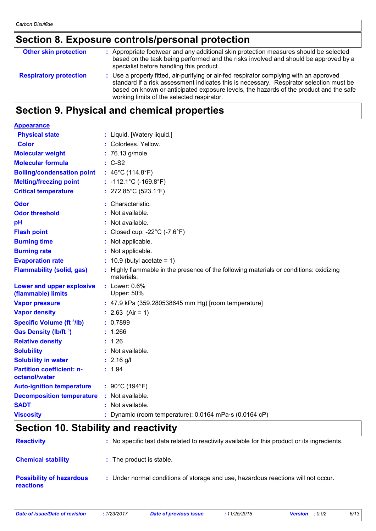### **Section 8. Exposure controls/personal protection**

| <b>Other skin protection</b>  | : Appropriate footwear and any additional skin protection measures should be selected<br>based on the task being performed and the risks involved and should be approved by a<br>specialist before handling this product.                                                                                                  |
|-------------------------------|----------------------------------------------------------------------------------------------------------------------------------------------------------------------------------------------------------------------------------------------------------------------------------------------------------------------------|
| <b>Respiratory protection</b> | : Use a properly fitted, air-purifying or air-fed respirator complying with an approved<br>standard if a risk assessment indicates this is necessary. Respirator selection must be<br>based on known or anticipated exposure levels, the hazards of the product and the safe<br>working limits of the selected respirator. |

### **Section 9. Physical and chemical properties**

| <b>Appearance</b>                                 |                                                                                                      |
|---------------------------------------------------|------------------------------------------------------------------------------------------------------|
| <b>Physical state</b>                             | : Liquid. [Watery liquid.]                                                                           |
| <b>Color</b>                                      | : Colorless, Yellow.                                                                                 |
| <b>Molecular weight</b>                           | : 76.13 g/mole                                                                                       |
| <b>Molecular formula</b>                          | $: C-S2$                                                                                             |
| <b>Boiling/condensation point</b>                 | : $46^{\circ}$ C (114.8 $^{\circ}$ F)                                                                |
| <b>Melting/freezing point</b>                     | $: -112.1^{\circ}C (-169.8^{\circ}F)$                                                                |
| <b>Critical temperature</b>                       | : $272.85^{\circ}$ C (523.1 $^{\circ}$ F)                                                            |
| <b>Odor</b>                                       | : Characteristic.                                                                                    |
| <b>Odor threshold</b>                             | : Not available.                                                                                     |
| pH                                                | : Not available.                                                                                     |
| <b>Flash point</b>                                | : Closed cup: -22 $^{\circ}$ C (-7.6 $^{\circ}$ F)                                                   |
| <b>Burning time</b>                               | : Not applicable.                                                                                    |
| <b>Burning rate</b>                               | : Not applicable.                                                                                    |
| <b>Evaporation rate</b>                           | $: 10.9$ (butyl acetate = 1)                                                                         |
| <b>Flammability (solid, gas)</b>                  | : Highly flammable in the presence of the following materials or conditions: oxidizing<br>materials. |
| Lower and upper explosive<br>(flammable) limits   | $:$ Lower: $0.6\%$<br><b>Upper: 50%</b>                                                              |
| <b>Vapor pressure</b>                             | : 47.9 kPa (359.280538645 mm Hg) [room temperature]                                                  |
| <b>Vapor density</b>                              | : $2.63$ (Air = 1)                                                                                   |
| <b>Specific Volume (ft 3/lb)</b>                  | : 0.7899                                                                                             |
| Gas Density (lb/ft <sup>3</sup> )                 | : 1.266                                                                                              |
| <b>Relative density</b>                           | : 1.26                                                                                               |
| <b>Solubility</b>                                 | : Not available.                                                                                     |
| <b>Solubility in water</b>                        | $: 2.16$ g/l                                                                                         |
| <b>Partition coefficient: n-</b><br>octanol/water | : 1.94                                                                                               |
| <b>Auto-ignition temperature</b>                  | : 90°C (194°F)                                                                                       |
| <b>Decomposition temperature</b>                  | : Not available.                                                                                     |
| <b>SADT</b>                                       | : Not available.                                                                                     |
| <b>Viscosity</b>                                  | : Dynamic (room temperature): 0.0164 mPa·s (0.0164 cP)                                               |

### **Section 10. Stability and reactivity**

| <b>Reactivity</b>                                   | : No specific test data related to reactivity available for this product or its ingredients. |
|-----------------------------------------------------|----------------------------------------------------------------------------------------------|
| <b>Chemical stability</b>                           | : The product is stable.                                                                     |
| <b>Possibility of hazardous</b><br><b>reactions</b> | : Under normal conditions of storage and use, hazardous reactions will not occur.            |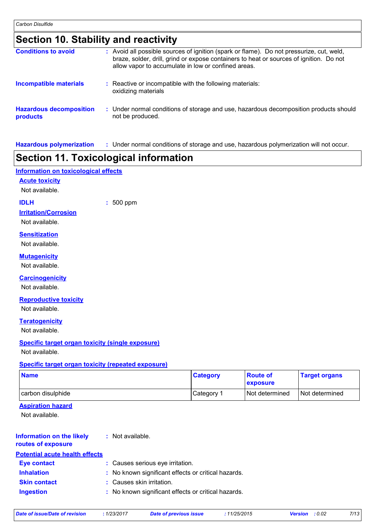### **Section 10. Stability and reactivity**

| <b>Conditions to avoid</b>                 | : Avoid all possible sources of ignition (spark or flame). Do not pressurize, cut, weld,<br>braze, solder, drill, grind or expose containers to heat or sources of ignition. Do not<br>allow vapor to accumulate in low or confined areas. |
|--------------------------------------------|--------------------------------------------------------------------------------------------------------------------------------------------------------------------------------------------------------------------------------------------|
| <b>Incompatible materials</b>              | : Reactive or incompatible with the following materials:<br>oxidizing materials                                                                                                                                                            |
| <b>Hazardous decomposition</b><br>products | : Under normal conditions of storage and use, hazardous decomposition products should<br>not be produced.                                                                                                                                  |

**Hazardous polymerization :** Under normal conditions of storage and use, hazardous polymerization will not occur.

### **Section 11. Toxicological information**

#### **Information on toxicological effects**

#### **Acute toxicity**

Not available.

**IDLH :** 500 ppm

### **Irritation/Corrosion**

Not available.

#### **Sensitization**

Not available.

#### **Mutagenicity**

Not available.

#### **Carcinogenicity**

Not available.

#### **Reproductive toxicity**

Not available.

#### **Teratogenicity**

Not available.

#### **Specific target organ toxicity (single exposure)**

Not available.

#### **Specific target organ toxicity (repeated exposure)**

| <b>Name</b>       | <b>Category</b> | <b>Route of</b><br><b>exposure</b> | <b>Target organs</b> |
|-------------------|-----------------|------------------------------------|----------------------|
| carbon disulphide | Category 1      | I Not determined                   | Not determined       |

#### **Aspiration hazard**

Not available.

| <b>Information on the likely</b>      | : Not available. |
|---------------------------------------|------------------|
| routes of exposure                    |                  |
| <b>Potential acute health effects</b> |                  |

| r olennar acute neann enecto |                                                     |
|------------------------------|-----------------------------------------------------|
| <b>Eye contact</b>           | : Causes serious eye irritation.                    |
| <b>Inhalation</b>            | : No known significant effects or critical hazards. |
| <b>Skin contact</b>          | : Causes skin irritation.                           |
| <b>Ingestion</b>             | : No known significant effects or critical hazards. |

|  |  | Date of issue/Date of revision |  |  |
|--|--|--------------------------------|--|--|
|--|--|--------------------------------|--|--|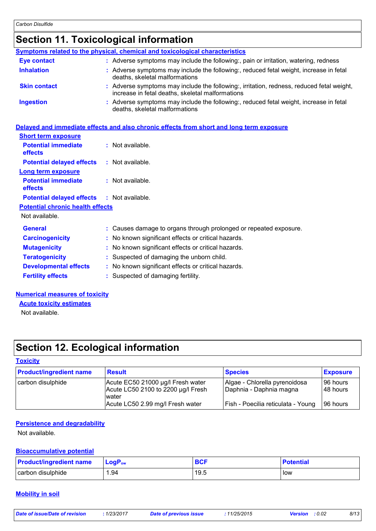### **Section 11. Toxicological information**

| Symptoms related to the physical, chemical and toxicological characteristics                                                                  |
|-----------------------------------------------------------------------------------------------------------------------------------------------|
| : Adverse symptoms may include the following:, pain or irritation, watering, redness                                                          |
| : Adverse symptoms may include the following:, reduced fetal weight, increase in fetal<br>deaths, skeletal malformations                      |
| : Adverse symptoms may include the following:, irritation, redness, reduced fetal weight,<br>increase in fetal deaths, skeletal malformations |
| Adverse symptoms may include the following:, reduced fetal weight, increase in fetal<br>deaths, skeletal malformations                        |
|                                                                                                                                               |

#### **Delayed and immediate effects and also chronic effects from short and long term exposure**

| <b>Short term exposure</b>                   |                                                                   |
|----------------------------------------------|-------------------------------------------------------------------|
| <b>Potential immediate</b><br><b>effects</b> | $:$ Not available.                                                |
| <b>Potential delayed effects</b>             | $:$ Not available.                                                |
| Long term exposure                           |                                                                   |
| <b>Potential immediate</b><br>effects        | $:$ Not available.                                                |
| <b>Potential delayed effects</b>             | $:$ Not available.                                                |
| <b>Potential chronic health effects</b>      |                                                                   |
| Not available.                               |                                                                   |
| <b>General</b>                               | : Causes damage to organs through prolonged or repeated exposure. |
| <b>Carcinogenicity</b>                       | : No known significant effects or critical hazards.               |
| <b>Mutagenicity</b>                          | : No known significant effects or critical hazards.               |
| <b>Teratogenicity</b>                        | : Suspected of damaging the unborn child.                         |
| <b>Developmental effects</b>                 | : No known significant effects or critical hazards.               |
| <b>Fertility effects</b>                     | : Suspected of damaging fertility.                                |

#### **Numerical measures of toxicity**

**Acute toxicity estimates**

Not available.

### **Section 12. Ecological information**

### **Toxicity**

| <b>Product/ingredient name</b> | <b>Result</b>                                                                    | <b>Species</b>                                           | <b>Exposure</b>           |
|--------------------------------|----------------------------------------------------------------------------------|----------------------------------------------------------|---------------------------|
| carbon disulphide              | Acute EC50 21000 µg/l Fresh water<br>Acute LC50 2100 to 2200 µg/l Fresh<br>water | Algae - Chlorella pyrenoidosa<br>Daphnia - Daphnia magna | l 96 hours l<br>148 hours |
|                                | Acute LC50 2.99 mg/l Fresh water                                                 | Fish - Poecilia reticulata - Young                       | 96 hours                  |

#### **Persistence and degradability**

Not available.

#### **Bioaccumulative potential**

| <b>Product/ingredient name</b> | $\mathsf{LocP}_\mathsf{ow}$ | <b>BCF</b> | <b>Potential</b> |
|--------------------------------|-----------------------------|------------|------------------|
| carbon disulphide              | 94. ا                       | 19.5       | low              |

#### **Mobility in soil**

| Date of issue/Date of revision | 1/23/2017 | <b>Date of previous issue</b> | 11/25/2015 | <b>Version</b> : 0.02 | 8/13 |
|--------------------------------|-----------|-------------------------------|------------|-----------------------|------|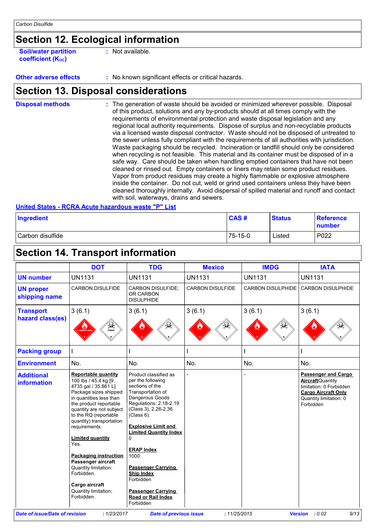### **Section 12. Ecological information**

**Soil/water partition coefficient (KOC) :** Not available.

**Other adverse effects** : No known significant effects or critical hazards.

### **Section 13. Disposal considerations**

The generation of waste should be avoided or minimized wherever possible. Disposal of this product, solutions and any by-products should at all times comply with the requirements of environmental protection and waste disposal legislation and any regional local authority requirements. Dispose of surplus and non-recyclable products via a licensed waste disposal contractor. Waste should not be disposed of untreated to the sewer unless fully compliant with the requirements of all authorities with jurisdiction. Waste packaging should be recycled. Incineration or landfill should only be considered when recycling is not feasible. This material and its container must be disposed of in a safe way. Care should be taken when handling emptied containers that have not been cleaned or rinsed out. Empty containers or liners may retain some product residues. Vapor from product residues may create a highly flammable or explosive atmosphere inside the container. Do not cut, weld or grind used containers unless they have been cleaned thoroughly internally. Avoid dispersal of spilled material and runoff and contact with soil, waterways, drains and sewers. **Disposal methods :**

**United States - RCRA Acute hazardous waste "P" List**

| Ingredient       | <b>CAS#</b> | <b>Status</b> | <b>Reference</b><br>number |
|------------------|-------------|---------------|----------------------------|
| Carbon disulfide | 75-15-0     | ∟isted        | P022                       |

### **Section 14. Transport information**

|                                         | <b>DOT</b>                                                                                                                                                                                                                                                                                                                                                                                                                                  | <b>TDG</b>                                                                                                                                                                                                                                                                                                                                                                                                   | <b>Mexico</b>           | <b>IMDG</b>              | <b>IATA</b>                                                                                                                                            |
|-----------------------------------------|---------------------------------------------------------------------------------------------------------------------------------------------------------------------------------------------------------------------------------------------------------------------------------------------------------------------------------------------------------------------------------------------------------------------------------------------|--------------------------------------------------------------------------------------------------------------------------------------------------------------------------------------------------------------------------------------------------------------------------------------------------------------------------------------------------------------------------------------------------------------|-------------------------|--------------------------|--------------------------------------------------------------------------------------------------------------------------------------------------------|
| <b>UN number</b>                        | <b>UN1131</b>                                                                                                                                                                                                                                                                                                                                                                                                                               | <b>UN1131</b>                                                                                                                                                                                                                                                                                                                                                                                                | <b>UN1131</b>           | <b>UN1131</b>            | <b>UN1131</b>                                                                                                                                          |
| <b>UN proper</b><br>shipping name       | <b>CARBON DISULFIDE</b>                                                                                                                                                                                                                                                                                                                                                                                                                     | <b>CARBON DISULFIDE:</b><br>OR CARBON<br><b>DISULPHIDE</b>                                                                                                                                                                                                                                                                                                                                                   | <b>CARBON DISULFIDE</b> | <b>CARBON DISULPHIDE</b> | <b>CARBON DISULPHIDE</b>                                                                                                                               |
| <b>Transport</b>                        | 3(6.1)                                                                                                                                                                                                                                                                                                                                                                                                                                      | 3(6.1)                                                                                                                                                                                                                                                                                                                                                                                                       | 3(6.1)                  | 3(6.1)                   | 3(6.1)                                                                                                                                                 |
| hazard class(es)                        | $\frac{1}{\sqrt{2}}$                                                                                                                                                                                                                                                                                                                                                                                                                        |                                                                                                                                                                                                                                                                                                                                                                                                              |                         |                          |                                                                                                                                                        |
| <b>Packing group</b>                    |                                                                                                                                                                                                                                                                                                                                                                                                                                             |                                                                                                                                                                                                                                                                                                                                                                                                              |                         |                          |                                                                                                                                                        |
| <b>Environment</b>                      | No.                                                                                                                                                                                                                                                                                                                                                                                                                                         | No.                                                                                                                                                                                                                                                                                                                                                                                                          | No.                     | No.                      | No.                                                                                                                                                    |
| <b>Additional</b><br><b>information</b> | Reportable quantity<br>100 lbs / 45.4 kg [9.<br>4735 gal / 35.861 L]<br>Package sizes shipped<br>in quantities less than<br>the product reportable<br>quantity are not subject<br>to the RQ (reportable<br>quantity) transportation<br>requirements.<br><b>Limited quantity</b><br>Yes.<br><b>Packaging instruction</b><br>Passenger aircraft<br>Quantity limitation:<br>Forbidden.<br>Cargo aircraft<br>Quantity limitation:<br>Forbidden. | Product classified as<br>per the following<br>sections of the<br>Transportation of<br>Dangerous Goods<br>Regulations: 2.18-2.19<br>(Class 3), 2.26-2.36<br>(Class 6).<br><b>Explosive Limit and</b><br><b>Limited Quantity Index</b><br>$\Omega$<br><b>ERAP Index</b><br>1000<br><b>Passenger Carrying</b><br><b>Ship Index</b><br>Forbidden<br><b>Passenger Carrying</b><br>Road or Rail Index<br>Forbidden |                         |                          | <b>Passenger and Cargo</b><br><b>Aircraft</b> Quantity<br>limitation: 0 Forbidden<br><b>Cargo Aircraft Only</b><br>Quantity limitation: 0<br>Forbidden |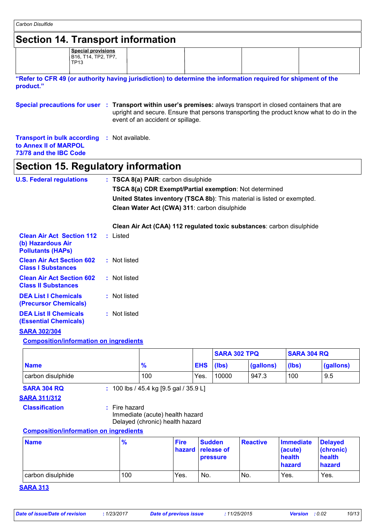| <b>Section 14. Transport information</b>                                                                                   |                                                          |               |                                                                                                                                                                                                                          |             |               |                     |                 |                             |                               |
|----------------------------------------------------------------------------------------------------------------------------|----------------------------------------------------------|---------------|--------------------------------------------------------------------------------------------------------------------------------------------------------------------------------------------------------------------------|-------------|---------------|---------------------|-----------------|-----------------------------|-------------------------------|
|                                                                                                                            | <b>Special provisions</b><br>B16, T14, TP2, TP7,<br>TP13 |               |                                                                                                                                                                                                                          |             |               |                     |                 |                             |                               |
| "Refer to CFR 49 (or authority having jurisdiction) to determine the information required for shipment of the<br>product." |                                                          |               |                                                                                                                                                                                                                          |             |               |                     |                 |                             |                               |
| Special precautions for user : Transport within user's premises: always transport in closed containers that are            |                                                          |               | upright and secure. Ensure that persons transporting the product know what to do in the<br>event of an accident or spillage.                                                                                             |             |               |                     |                 |                             |                               |
| <b>Transport in bulk according</b><br>to Annex II of MARPOL<br>73/78 and the IBC Code                                      |                                                          |               | : Not available.                                                                                                                                                                                                         |             |               |                     |                 |                             |                               |
| Section 15. Regulatory information                                                                                         |                                                          |               |                                                                                                                                                                                                                          |             |               |                     |                 |                             |                               |
| <b>U.S. Federal regulations</b>                                                                                            |                                                          |               | : TSCA 8(a) PAIR: carbon disulphide<br>TSCA 8(a) CDR Exempt/Partial exemption: Not determined<br>United States inventory (TSCA 8b): This material is listed or exempted.<br>Clean Water Act (CWA) 311: carbon disulphide |             |               |                     |                 |                             |                               |
| <b>Clean Air Act Section 112</b><br>(b) Hazardous Air<br><b>Pollutants (HAPS)</b>                                          |                                                          | : Listed      | Clean Air Act (CAA) 112 regulated toxic substances: carbon disulphide                                                                                                                                                    |             |               |                     |                 |                             |                               |
| <b>Clean Air Act Section 602</b><br><b>Class I Substances</b>                                                              |                                                          | : Not listed  |                                                                                                                                                                                                                          |             |               |                     |                 |                             |                               |
| <b>Clean Air Act Section 602</b><br><b>Class II Substances</b>                                                             |                                                          | : Not listed  |                                                                                                                                                                                                                          |             |               |                     |                 |                             |                               |
| <b>DEA List I Chemicals</b><br>(Precursor Chemicals)                                                                       |                                                          | : Not listed  |                                                                                                                                                                                                                          |             |               |                     |                 |                             |                               |
| <b>DEA List II Chemicals</b><br><b>(Essential Chemicals)</b>                                                               |                                                          | : Not listed  |                                                                                                                                                                                                                          |             |               |                     |                 |                             |                               |
| <b>SARA 302/304</b>                                                                                                        |                                                          |               |                                                                                                                                                                                                                          |             |               |                     |                 |                             |                               |
| <b>Composition/information on ingredients</b>                                                                              |                                                          |               |                                                                                                                                                                                                                          |             |               |                     |                 |                             |                               |
|                                                                                                                            |                                                          |               |                                                                                                                                                                                                                          |             |               | <b>SARA 302 TPQ</b> |                 | <b>SARA 304 RQ</b>          |                               |
| <b>Name</b>                                                                                                                |                                                          |               | $\frac{9}{6}$                                                                                                                                                                                                            |             | <b>EHS</b>    | (Ibs)               | (gallons)       | (Ibs)                       | (gallons)                     |
| carbon disulphide                                                                                                          |                                                          |               | 100                                                                                                                                                                                                                      |             | Yes.          | 10000               | 947.3           | 100                         | 9.5                           |
| <b>SARA 304 RQ</b>                                                                                                         |                                                          |               | : 100 lbs / 45.4 kg [9.5 gal / 35.9 L]                                                                                                                                                                                   |             |               |                     |                 |                             |                               |
| <b>SARA 311/312</b><br><b>Classification</b>                                                                               |                                                          | : Fire hazard | Immediate (acute) health hazard<br>Delayed (chronic) health hazard                                                                                                                                                       |             |               |                     |                 |                             |                               |
|                                                                                                                            |                                                          |               |                                                                                                                                                                                                                          |             |               |                     |                 |                             |                               |
| <b>Composition/information on ingredients</b>                                                                              |                                                          |               |                                                                                                                                                                                                                          | <b>Fire</b> | <b>Sudden</b> |                     | <b>Reactive</b> | <b>Immediate</b><br>(acute) | <b>Delayed</b>                |
| <b>Name</b>                                                                                                                |                                                          | $\frac{9}{6}$ |                                                                                                                                                                                                                          | hazard      | release of    | pressure            |                 | health<br>hazard            | (chronic)<br>health<br>hazard |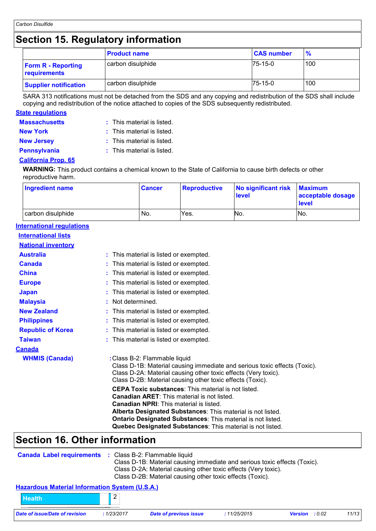### **Section 15. Regulatory information**

|                                           | <b>Product name</b> | <b>CAS number</b> | $\frac{9}{6}$ |
|-------------------------------------------|---------------------|-------------------|---------------|
| <b>Form R - Reporting</b><br>requirements | carbon disulphide   | $75-15-0$         | 100           |
| <b>Supplier notification</b>              | carbon disulphide   | $75-15-0$         | 100           |

SARA 313 notifications must not be detached from the SDS and any copying and redistribution of the SDS shall include copying and redistribution of the notice attached to copies of the SDS subsequently redistributed.

#### **State regulations**

| <b>Massachusetts</b> | $:$ This material is listed. |
|----------------------|------------------------------|
| <b>New York</b>      | $:$ This material is listed. |
| <b>New Jersey</b>    | : This material is listed.   |
| <b>Pennsylvania</b>  | $:$ This material is listed. |

#### **California Prop. 65**

**WARNING:** This product contains a chemical known to the State of California to cause birth defects or other reproductive harm.

| <b>Ingredient name</b> | <b>Cancer</b> | Reproductive | No significant risk<br>level | <b>Maximum</b><br>acceptable dosage<br><b>level</b> |
|------------------------|---------------|--------------|------------------------------|-----------------------------------------------------|
| carbon disulphide      | No.           | Yes.         | No.                          | No.                                                 |

#### **International regulations**

| <b>International lists</b> |                                                                                                                                                                                                                                                                                                                                                                |
|----------------------------|----------------------------------------------------------------------------------------------------------------------------------------------------------------------------------------------------------------------------------------------------------------------------------------------------------------------------------------------------------------|
| <b>National inventory</b>  |                                                                                                                                                                                                                                                                                                                                                                |
| <b>Australia</b>           | : This material is listed or exempted.                                                                                                                                                                                                                                                                                                                         |
| <b>Canada</b>              | : This material is listed or exempted.                                                                                                                                                                                                                                                                                                                         |
| <b>China</b>               | : This material is listed or exempted.                                                                                                                                                                                                                                                                                                                         |
| <b>Europe</b>              | : This material is listed or exempted.                                                                                                                                                                                                                                                                                                                         |
| <b>Japan</b>               | This material is listed or exempted.                                                                                                                                                                                                                                                                                                                           |
| <b>Malaysia</b>            | : Not determined.                                                                                                                                                                                                                                                                                                                                              |
| <b>New Zealand</b>         | : This material is listed or exempted.                                                                                                                                                                                                                                                                                                                         |
| <b>Philippines</b>         | : This material is listed or exempted.                                                                                                                                                                                                                                                                                                                         |
| <b>Republic of Korea</b>   | : This material is listed or exempted.                                                                                                                                                                                                                                                                                                                         |
| <b>Taiwan</b>              | : This material is listed or exempted.                                                                                                                                                                                                                                                                                                                         |
| <u>Canada</u>              |                                                                                                                                                                                                                                                                                                                                                                |
| <b>WHMIS (Canada)</b>      | : Class B-2: Flammable liquid<br>Class D-1B: Material causing immediate and serious toxic effects (Toxic).<br>Class D-2A: Material causing other toxic effects (Very toxic).<br>Class D-2B: Material causing other toxic effects (Toxic).                                                                                                                      |
|                            | <b>CEPA Toxic substances:</b> This material is not listed.<br><b>Canadian ARET:</b> This material is not listed.<br>Canadian NPRI: This material is listed.<br>Alberta Designated Substances: This material is not listed.<br><b>Ontario Designated Substances: This material is not listed.</b><br>Quebec Designated Substances: This material is not listed. |

### **Section 16. Other information**

| <b>Canada Label requirements : Class B-2: Flammable liquid</b> | Class D-1B: Material causing immediate and serious toxic effects (Toxic).<br>Class D-2A: Material causing other toxic effects (Very toxic).<br>Class D-2B: Material causing other toxic effects (Toxic). |
|----------------------------------------------------------------|----------------------------------------------------------------------------------------------------------------------------------------------------------------------------------------------------------|
| <b>Hazardous Material Information System (U.S.A.)</b>          |                                                                                                                                                                                                          |
| <b>Health</b>                                                  |                                                                                                                                                                                                          |

*Date of issue/Date of revision* **:** *1/23/2017 Date of previous issue : 11/25/2015 Version : 0.02 11/13*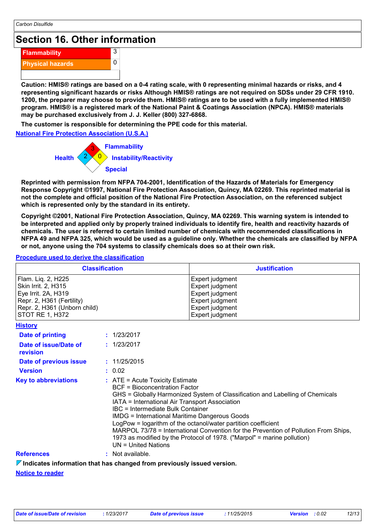### **Section 16. Other information**

| <b>Flammability</b>     |  |
|-------------------------|--|
| <b>Physical hazards</b> |  |
|                         |  |

**Caution: HMIS® ratings are based on a 0-4 rating scale, with 0 representing minimal hazards or risks, and 4 representing significant hazards or risks Although HMIS® ratings are not required on SDSs under 29 CFR 1910. 1200, the preparer may choose to provide them. HMIS® ratings are to be used with a fully implemented HMIS® program. HMIS® is a registered mark of the National Paint & Coatings Association (NPCA). HMIS® materials may be purchased exclusively from J. J. Keller (800) 327-6868.**

**The customer is responsible for determining the PPE code for this material.**

**National Fire Protection Association (U.S.A.)**



3  $\overline{0}$ 

**Reprinted with permission from NFPA 704-2001, Identification of the Hazards of Materials for Emergency Response Copyright ©1997, National Fire Protection Association, Quincy, MA 02269. This reprinted material is not the complete and official position of the National Fire Protection Association, on the referenced subject which is represented only by the standard in its entirety.**

**Copyright ©2001, National Fire Protection Association, Quincy, MA 02269. This warning system is intended to be interpreted and applied only by properly trained individuals to identify fire, health and reactivity hazards of chemicals. The user is referred to certain limited number of chemicals with recommended classifications in NFPA 49 and NFPA 325, which would be used as a guideline only. Whether the chemicals are classified by NFPA or not, anyone using the 704 systems to classify chemicals does so at their own risk.**

#### **Procedure used to derive the classification**

| <b>Classification</b>                                                                                                                                   |                                                                                                                                                                                                                                                   | <b>Justification</b>                                                                                                                                                                                                                                                                                             |
|---------------------------------------------------------------------------------------------------------------------------------------------------------|---------------------------------------------------------------------------------------------------------------------------------------------------------------------------------------------------------------------------------------------------|------------------------------------------------------------------------------------------------------------------------------------------------------------------------------------------------------------------------------------------------------------------------------------------------------------------|
| Flam. Liq. 2, H225<br>Skin Irrit. 2, H315<br>Eye Irrit. 2A, H319<br>Repr. 2, H361 (Fertility)<br>Repr. 2, H361 (Unborn child)<br><b>STOT RE 1, H372</b> |                                                                                                                                                                                                                                                   | Expert judgment<br>Expert judgment<br>Expert judgment<br>Expert judgment<br>Expert judgment<br>Expert judgment                                                                                                                                                                                                   |
| <b>History</b>                                                                                                                                          |                                                                                                                                                                                                                                                   |                                                                                                                                                                                                                                                                                                                  |
| <b>Date of printing</b>                                                                                                                                 | : 1/23/2017                                                                                                                                                                                                                                       |                                                                                                                                                                                                                                                                                                                  |
| Date of issue/Date of<br>revision                                                                                                                       | : 1/23/2017                                                                                                                                                                                                                                       |                                                                                                                                                                                                                                                                                                                  |
| Date of previous issue                                                                                                                                  | : 11/25/2015                                                                                                                                                                                                                                      |                                                                                                                                                                                                                                                                                                                  |
| <b>Version</b>                                                                                                                                          | : 0.02                                                                                                                                                                                                                                            |                                                                                                                                                                                                                                                                                                                  |
| <b>Key to abbreviations</b>                                                                                                                             | $:$ ATE = Acute Toxicity Estimate<br><b>BCF</b> = Bioconcentration Factor<br>IATA = International Air Transport Association<br>IBC = Intermediate Bulk Container<br><b>IMDG = International Maritime Dangerous Goods</b><br>$UN = United Nations$ | GHS = Globally Harmonized System of Classification and Labelling of Chemicals<br>LogPow = logarithm of the octanol/water partition coefficient<br>MARPOL 73/78 = International Convention for the Prevention of Pollution From Ships,<br>1973 as modified by the Protocol of 1978. ("Marpol" = marine pollution) |
| <b>References</b>                                                                                                                                       | : Not available.                                                                                                                                                                                                                                  |                                                                                                                                                                                                                                                                                                                  |
| $\triangledown$ Indicates information that has changed from previously issued version.                                                                  |                                                                                                                                                                                                                                                   |                                                                                                                                                                                                                                                                                                                  |

**Notice to reader**